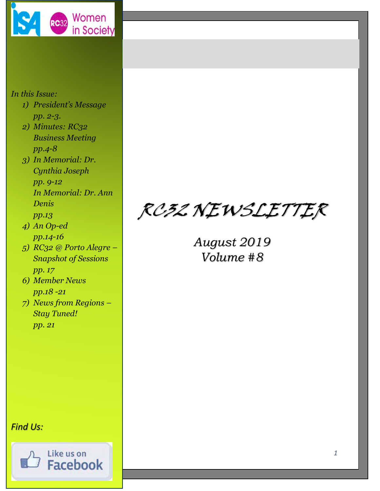

## *In this Issue:*

- *1) President's Message pp. 2-3.*
- *2) Minutes: RC32 Business Meeting pp.4-8*
- *3) In Memorial: Dr. Cynthia Joseph pp. 9-12 In Memorial: Dr. Ann Denis pp.13*
- *4) An Op-ed pp.14-16*
- *5) RC32 @ Porto Alegre – Snapshot of Sessions pp. 17*
- *6) Member News pp.18 -21*
- *7) News from Regions – Stay Tuned! pp. 21*

RC32 NEWSLETTER

*August 2019 Volume #8*

## *Find Us:*

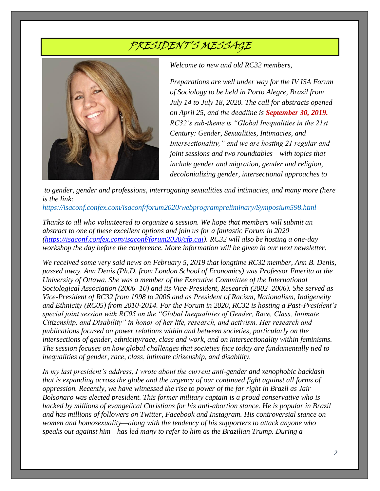# PRESIDENT'S MESSAGE



*Welcome to new and old RC32 members,*

*Preparations are well under way for the IV ISA Forum of Sociology to be held in Porto Alegre, Brazil from July 14 to July 18, 2020. The call for abstracts opened on April 25, and the deadline is September 30, 2019. RC32's sub-theme is "Global Inequalities in the 21st Century: Gender, Sexualities, Intimacies, and Intersectionality," and we are hosting 21 regular and joint sessions and two roundtables—with topics that include gender and migration, gender and religion, decolonializing gender, intersectional approaches to* 

*to gender, gender and professions, interrogating sexualities and intimacies, and many more (here is the link:*

*<https://isaconf.confex.com/isaconf/forum2020/webprogrampreliminary/Symposium598.html>*

*Thanks to all who volunteered to organize a session. We hope that members will submit an abstract to one of these excellent options and join us for a fantastic Forum in 2020 [\(https://isaconf.confex.com/isaconf/forum2020/cfp.cgi\)](https://isaconf.confex.com/isaconf/forum2020/cfp.cgi). RC32 will also be hosting a one-day workshop the day before the conference. More information will be given in our next newsletter.*

*We received some very said news on February 5, 2019 that longtime RC32 member, Ann B. Denis, passed away. Ann Denis (Ph.D. from London School of Economics) was Professor Emerita at the University of Ottawa. She was a member of the Executive Committee of the International Sociological Association (2006–10) and its Vice-President, Research (2002–2006). She served as Vice-President of RC32 from 1998 to 2006 and as President of Racism, Nationalism, Indigeneity and Ethnicity (RC05) from 2010-2014. For the Forum in 2020, RC32 is hosting a Past-President's special joint session with RC05 on the "Global Inequalities of Gender, Race, Class, Intimate Citizenship, and Disability" in honor of her life, research, and activism. Her research and publications focused on power relations within and between societies, particularly on the intersections of gender, ethnicity/race, class and work, and on intersectionality within feminisms. The session focuses on how global challenges that societies face today are fundamentally tied to inequalities of gender, race, class, intimate citizenship, and disability.*

*In my last president's address, I wrote about the current anti-gender and xenophobic backlash that is expanding across the globe and the urgency of our continued fight against all forms of oppression. Recently, we have witnessed the rise to power of the far right in Brazil as Jair Bolsonaro was elected president. This former military captain is a proud conservative who is backed by millions of evangelical Christians for his anti-abortion stance. He is popular in Brazil and has millions of followers on Twitter, Facebook and Instagram. His controversial stance on women and homosexuality—along with the tendency of his supporters to attack anyone who speaks out against him—has led many to refer to him as the Brazilian Trump. During a*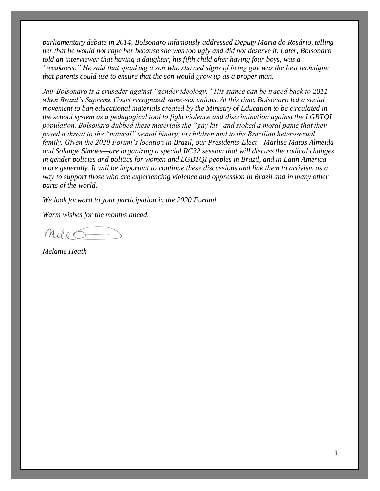*parliamentary debate in 2014, Bolsonaro infamously addressed Deputy Maria do Rosário, telling her that he would not rape her because she was too ugly and did not deserve it. Later, Bolsonaro told an interviewer that having a daughter, his fifth child after having four boys, was a "weakness." He said that spanking a son who showed signs of being gay was the best technique that parents could use to ensure that the son would grow up as a proper man.*

*Jair Bolsonaro is a crusader against "gender ideology." His stance can be traced back to 2011 when Brazil's Supreme Court recognized same-sex unions. At this time, Bolsonaro led a social movement to ban educational materials created by the Ministry of Education to be circulated in the school system as a pedagogical tool to fight violence and discrimination against the LGBTQI population. Bolsonaro dubbed these materials the "gay kit" and stoked a moral panic that they posed a threat to the "natural" sexual binary, to children and to the Brazilian heterosexual family. Given the 2020 Forum's location in Brazil, our Presidents-Elect—Marlise Matos Almeida and Solange Simoes—are organizing a special RC32 session that will discuss the radical changes in gender policies and politics for women and LGBTQI peoples in Brazil, and in Latin America more generally. It will be important to continue these discussions and link them to activism as a way to support those who are experiencing violence and oppression in Brazil and in many other parts of the world.*

*We look forward to your participation in the 2020 Forum!*

*Warm wishes for the months ahead,*

 $m_{ul}$ o $\leq$ 

*Melanie Heath*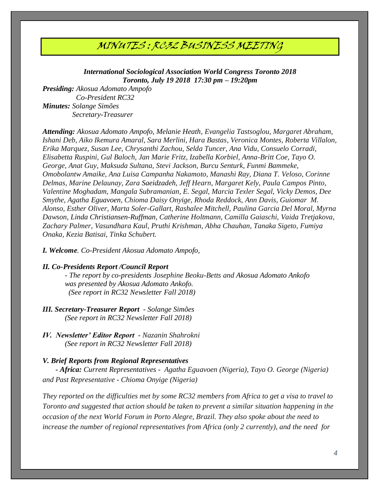## MINUTES : RC32 BUSINESS MEETING

*International Sociological Association World Congress Toronto 2018 Toronto, July 19 2018 17:30 pm – 19:20pm*

*Presiding: Akosua Adomato Ampofo Co-President RC32 Minutes: Solange Simões Secretary-Treasurer* 

*Attending: Akosua Adomato Ampofo, Melanie Heath, Evangelia Tastsoglou, Margaret Abraham, Ishani Deb, Aiko Ikemura Amaral, Sara Merlini, Hara Bastas, Veronica Montes, Roberta Villalon, Erika Marquez, Susan Lee, Chrysanthi Zachou, Selda Tuncer, Ana Vidu, Consuelo Corradi, Elisabetta Ruspini, Gul Baloch, Jan Marie Fritz, Izabella Korbiel, Anna-Britt Coe, Tayo O. George, Anat Guy, Maksuda Sultana, Stevi Jackson, Burcu Senturk, Funmi Bammeke, Omobolantw Amaike, Ana Luisa Campanha Nakamoto, Manashi Ray, Diana T. Veloso, Corinne Delmas, Marine Delaunay, Zara Saeidzadeh, Jeff Hearn, Margaret Kely, Paula Campos Pinto, Valentine Moghadam, Mangala Subramanian, E. Segal, Marcia Texler Segal, Vicky Demos, Dee Smythe, Agatha Eguavoen, Chioma Daisy Onyige, Rhoda Reddock, Ann Davis, Guiomar M. Alonso, Esther Oliver, Marta Soler-Gallart, Rashalee Mitchell, Paulina Garcia Del Moral, Myrna Dawson, Linda Christiansen-Ruffman, Catherine Holtmann, Camilla Gaiaschi, Vaida Tretjakova, Zachary Palmer, Vasundhara Kaul, Pruthi Krishman, Abha Chauhan, Tanaka Sigeto, Fumiya Onaka, Kezia Batisai, Tinka Schubert.* 

*I. Welcome. Co-President Akosua Adomato Ampofo,* 

#### *II. Co-Presidents Report /Council Report*

*- The report by co-presidents Josephine Beoku-Betts and Akosua Adomato Ankofo was presented by Akosua Adomato Ankofo. (See report in RC32 Newsletter Fall 2018)*

- *III. Secretary-Treasurer Report - Solange Simões (See report in RC32 Newsletter Fall 2018)*
- *IV. Newsletter' Editor Report - Nazanin Shahrokni (See report in RC32 Newsletter Fall 2018)*

#### *V. Brief Reports from Regional Representatives*

 *- Africa: Current Representatives - Agatha Eguavoen (Nigeria), Tayo O. George (Nigeria) and Past Representative - Chioma Onyige (Nigeria)*

*They reported on the difficulties met by some RC32 members from Africa to get a visa to travel to Toronto and suggested that action should be taken to prevent a similar situation happening in the occasion of the next World Forum in Porto Alegre, Brazil. They also spoke about the need to increase the number of regional representatives from Africa (only 2 currently), and the need for*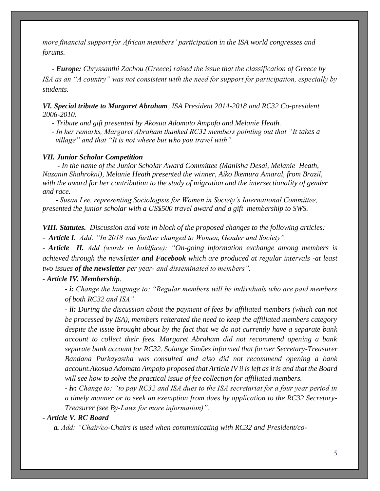*more financial support for African members' participation in the ISA world congresses and forums.*

 *- Europe: Chryssanthi Zachou (Greece) raised the issue that the classification of Greece by ISA as an "A country" was not consistent with the need for support for participation, especially by students.*

*VI. Special tribute to Margaret Abraham, ISA President 2014-2018 and RC32 Co-president 2006-2010.* 

 *- Tribute and gift presented by Akosua Adomato Ampofo and Melanie Heath.* 

 *- In her remarks, Margaret Abraham thanked RC32 members pointing out that "It takes a village" and that "It is not where but who you travel with".* 

#### *VII. Junior Scholar Competition*

 *- In the name of the Junior Scholar Award Committee (Manisha Desai, Melanie Heath, Nazanin Shahrokni), Melanie Heath presented the winner, Aiko Ikemura Amaral, from Brazil, with the award for her contribution to the study of migration and the intersectionality of gender and race.*

 *- Susan Lee, representing Sociologists for Women in Society's International Committee, presented the junior scholar with a US\$500 travel award and a gift membership to SWS.*

*VIII. Statutes. Discussion and vote in block of the proposed changes to the following articles: - Article I. Add: "In 2018 was further changed to Women, Gender and Society".*

*- Article II. Add (words in boldface): "On-going information exchange among members is achieved through the newsletter and Facebook which are produced at regular intervals -at least two issues of the newsletter per year- and disseminated to members".* 

#### *- Article IV. Membership.*

*- i: Change the language to: "Regular members will be individuals who are paid members of both RC32 and ISA"*

*- ii: During the discussion about the payment of fees by affiliated members (which can not be processed by ISA), members reiterated the need to keep the affiliated members category despite the issue brought about by the fact that we do not currently have a separate bank account to collect their fees. Margaret Abraham did not recommend opening a bank separate bank account for RC32. Solange Simões informed that former Secretary-Treasurer Bandana Purkayastha was consulted and also did not recommend opening a bank account.Akosua Adomato Ampofo proposed that Article IV ii is left as it is and that the Board will see how to solve the practical issue of fee collection for affiliated members.*

*- iv: Change to: "to pay RC32 and ISA dues to the ISA secretariat for a four year period in a timely manner or to seek an exemption from dues by application to the RC32 Secretary-Treasurer (see By-Laws for more information)".* 

*- Article V. RC Board*

 *a. Add: "Chair/co-Chairs is used when communicating with RC32 and President/co-*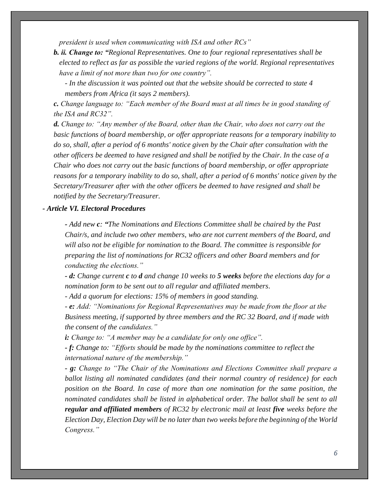*president is used when communicating with ISA and other RCs"*

- *b. ii. Change to: "Regional Representatives. One to four regional representatives shall be elected to reflect as far as possible the varied regions of the world. Regional representatives have a limit of not more than two for one country".* 
	- *- In the discussion it was pointed out that the website should be corrected to state 4 members from Africa (it says 2 members).*

*c. Change language to: "Each member of the Board must at all times be in good standing of the ISA and RC32".* 

*d. Change to: "Any member of the Board, other than the Chair, who does not carry out the basic functions of board membership, or offer appropriate reasons for a temporary inability to do so, shall, after a period of 6 months' notice given by the Chair after consultation with the other officers be deemed to have resigned and shall be notified by the Chair. In the case of a Chair who does not carry out the basic functions of board membership, or offer appropriate reasons for a temporary inability to do so, shall, after a period of 6 months' notice given by the Secretary/Treasurer after with the other officers be deemed to have resigned and shall be notified by the Secretary/Treasurer.* 

### *- Article VI. Electoral Procedures*

*- Add new c: "The Nominations and Elections Committee shall be chaired by the Past Chair/s, and include two other members, who are not current members of the Board, and will also not be eligible for nomination to the Board. The committee is responsible for preparing the list of nominations for RC32 officers and other Board members and for conducting the elections."* 

*- d: Change current c to d and change 10 weeks to 5 weeks before the elections day for a nomination form to be sent out to all regular and affiliated members.* 

*- Add a quorum for elections: 15% of members in good standing.*

*- e: Add: "Nominations for Regional Representatives may be made from the floor at the Business meeting, if supported by three members and the RC 32 Board, and if made with the consent of the candidates."* 

 *i: Change to: "A member may be a candidate for only one office".* 

*- f: Change to: "Efforts should be made by the nominations committee to reflect the international nature of the membership."*

*- g: Change to "The Chair of the Nominations and Elections Committee shall prepare a ballot listing all nominated candidates (and their normal country of residence) for each position on the Board. In case of more than one nomination for the same position, the nominated candidates shall be listed in alphabetical order. The ballot shall be sent to all regular and affiliated members of RC32 by electronic mail at least five weeks before the Election Day, Election Day will be no later than two weeks before the beginning of the World Congress."*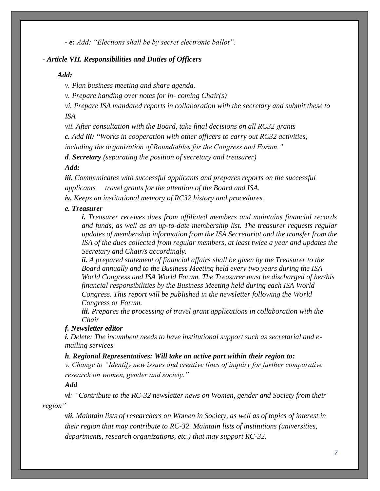*- e: Add: "Elections shall be by secret electronic ballot".*

#### *- Article VII. Responsibilities and Duties of Officers*

#### *Add:*

*v. Plan business meeting and share agenda.* 

*v. Prepare handing over notes for in- coming Chair(s)*

*vi. Prepare ISA mandated reports in collaboration with the secretary and submit these to ISA* 

*vii. After consultation with the Board, take final decisions on all RC32 grants* 

*c. Add iii: "Works in cooperation with other officers to carry out RC32 activities,* 

*including the organization of Roundtables for the Congress and Forum."* 

*d. Secretary (separating the position of secretary and treasurer)*

### *Add:*

*iii. Communicates with successful applicants and prepares reports on the successful applicants travel grants for the attention of the Board and ISA.* 

*iv. Keeps an institutional memory of RC32 history and procedures.* 

#### *e. Treasurer*

*i. Treasurer receives dues from affiliated members and maintains financial records and funds, as well as an up-to-date membership list. The treasurer requests regular updates of membership information from the ISA Secretariat and the transfer from the ISA of the dues collected from regular members, at least twice a year and updates the Secretary and Chair/s accordingly.* 

*ii. A prepared statement of financial affairs shall be given by the Treasurer to the Board annually and to the Business Meeting held every two years during the ISA World Congress and ISA World Forum. The Treasurer must be discharged of her/his financial responsibilities by the Business Meeting held during each ISA World Congress. This report will be published in the newsletter following the World Congress or Forum.* 

*iii. Prepares the processing of travel grant applications in collaboration with the Chair* 

### *f. Newsletter editor*

*i. Delete: The incumbent needs to have institutional support such as secretarial and emailing services* 

#### *h. Regional Representatives: Will take an active part within their region to:*

*v. Change to "Identify new issues and creative lines of inquiry for further comparative research on women, gender and society."*

#### *Add*

*vi: "Contribute to the RC-32 newsletter news on Women, gender and Society from their region"* 

*vii. Maintain lists of researchers on Women in Society, as well as of topics of interest in their region that may contribute to RC-32. Maintain lists of institutions (universities, departments, research organizations, etc.) that may support RC-32.*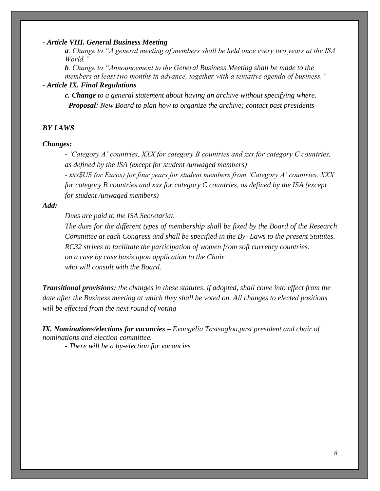#### *- Article VIII. General Business Meeting*

*a. Change to "A general meeting of members shall be held once every two years at the ISA World."*

*b. Change to "Announcement to the General Business Meeting shall be made to the members at least two months in advance, together with a tentative agenda of business."* 

## *- Article IX. Final Regulations*

*c. Change to a general statement about having an archive without specifying where. Proposal: New Board to plan how to organize the archive; contact past presidents*

#### *BY LAWS*

#### *Changes:*

*- 'Category A' countries, XXX for category B countries and xxx for category C countries, as defined by the ISA (except for student /unwaged members)* 

*- xxx\$US (or Euros) for four years for student members from 'Category A' countries, XXX for category B countries and xxx for category C countries, as defined by the ISA (except for student /unwaged members)* 

#### *Add:*

*Dues are paid to the ISA Secretariat.* 

*The dues for the different types of membership shall be fixed by the Board of the Research Committee at each Congress and shall be specified in the By- Laws to the present Statutes. RC32 strives to facilitate the participation of women from soft currency countries. on a case by case basis upon application to the Chair who will consult with the Board.* 

*Transitional provisions: the changes in these statutes, if adopted, shall come into effect from the date after the Business meeting at which they shall be voted on. All changes to elected positions will be effected from the next round of voting* 

*IX. Nominations/elections for vacancies – Evangelia Tastsoglou,past president and chair of nominations and election committee.*

*- There will be a by-election for vacancies*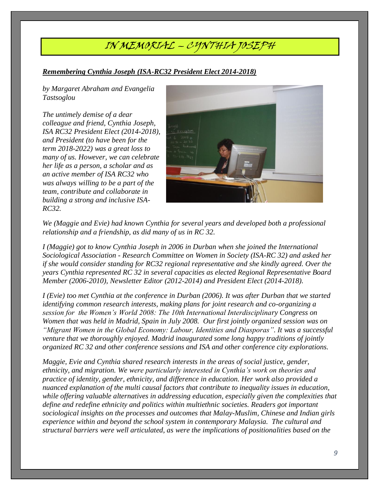# IN MEMORIAL – CYNTHIA JOSEPH

## *Remembering Cynthia Joseph (ISA-RC32 President Elect 2014-2018)*

*by Margaret Abraham and Evangelia Tastsoglou*

*The untimely demise of a dear colleague and friend, Cynthia Joseph, ISA RC32 President Elect (2014-2018), and President (to have been for the term 2018-2022) was a great loss to many of us. However, we can celebrate her life as a person, a scholar and as an active member of ISA RC32 who was always willing to be a part of the team, contribute and collaborate in building a strong and inclusive ISA-RC32.* 



*We (Maggie and Evie) had known Cynthia for several years and developed both a professional relationship and a friendship, as did many of us in RC 32.* 

*I (Maggie) got to know Cynthia Joseph in 2006 in Durban when she joined the International Sociological Association - Research Committee on Women in Society (ISA-RC 32) and asked her if she would consider standing for RC32 regional representative and she kindly agreed. Over the years Cynthia represented RC 32 in several capacities as elected Regional Representative Board Member (2006-2010), Newsletter Editor (2012-2014) and President Elect (2014-2018).* 

*I (Evie) too met Cynthia at the conference in Durban (2006). It was after Durban that we started identifying common research interests, making plans for joint research and co-organizing a session for the Women's World 2008: The 10th International Interdisciplinary Congress on Women that was held in Madrid, Spain in July 2008. Our first jointly organized session was on "Migrant Women in the Global Economy: Labour, Identities and Diasporas". It was a successful venture that we thoroughly enjoyed. Madrid inaugurated some long happy traditions of jointly organized RC 32 and other conference sessions and ISA and other conference city explorations.* 

*Maggie, Evie and Cynthia shared research interests in the areas of social justice, gender, ethnicity, and migration. We were particularly interested in Cynthia's work on theories and practice of identity, gender, ethnicity, and difference in education. Her work also provided a nuanced explanation of the multi causal factors that contribute to inequality issues in education, while offering valuable alternatives in addressing education, especially given the complexities that define and redefine ethnicity and politics within multiethnic societies. Readers got important sociological insights on the processes and outcomes that Malay-Muslim, Chinese and Indian girls experience within and beyond the school system in contemporary Malaysia. The cultural and structural barriers were well articulated, as were the implications of positionalities based on the*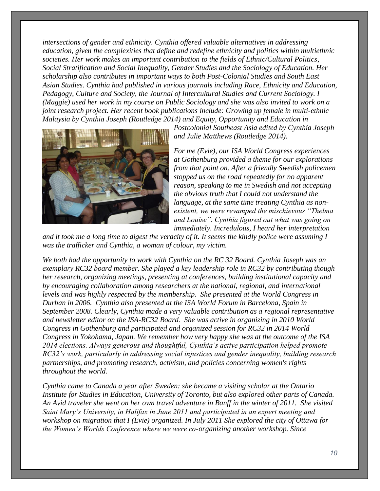*intersections of gender and ethnicity. Cynthia offered valuable alternatives in addressing education, given the complexities that define and redefine ethnicity and politics within multiethnic societies. Her work makes an important contribution to the fields of Ethnic/Cultural Politics, Social Stratification and Social Inequality, Gender Studies and the Sociology of Education. Her scholarship also contributes in important ways to both Post-Colonial Studies and South East Asian Studies. Cynthia had published in various journals including Race, Ethnicity and Education, Pedagogy, Culture and Society, the Journal of Intercultural Studies and Current Sociology. I (Maggie) used her work in my course on Public Sociology and she was also invited to work on a joint research project. Her recent book publications include: Growing up female in multi-ethnic Malaysia by Cynthia Joseph (Routledge 2014) and Equity, Opportunity and Education in* 



*Postcolonial Southeast Asia edited by Cynthia Joseph and Julie Matthews (Routledge 2014).* 

*For me (Evie), our ISA World Congress experiences at Gothenburg provided a theme for our explorations from that point on. After a friendly Swedish policemen stopped us on the road repeatedly for no apparent reason, speaking to me in Swedish and not accepting the obvious truth that I could not understand the language, at the same time treating Cynthia as nonexistent, we were revamped the mischievous "Thelma and Louise". Cynthia figured out what was going on immediately. Incredulous, I heard her interpretation* 

*and it took me a long time to digest the veracity of it. It seems the kindly police were assuming I was the trafficker and Cynthia, a woman of colour, my victim.* 

*We both had the opportunity to work with Cynthia on the RC 32 Board. Cynthia Joseph was an exemplary RC32 board member. She played a key leadership role in RC32 by contributing though her research, organizing meetings, presenting at conferences, building institutional capacity and by encouraging collaboration among researchers at the national, regional, and international levels and was highly respected by the membership. She presented at the World Congress in Durban in 2006. Cynthia also presented at the ISA World Forum in Barcelona, Spain in September 2008. Clearly, Cynthia made a very valuable contribution as a regional representative and newsletter editor on the ISA-RC32 Board. She was active in organizing in 2010 World Congress in Gothenburg and participated and organized session for RC32 in 2014 World Congress in Yokohama, Japan. We remember how very happy she was at the outcome of the ISA 2014 elections. Always generous and thoughtful, Cynthia's active participation helped promote RC32's work, particularly in addressing social injustices and gender inequality, building research partnerships, and promoting research, activism, and policies concerning women's rights throughout the world.*

*Cynthia came to Canada a year after Sweden: she became a visiting scholar at the Ontario Institute for Studies in Education, University of Toronto, but also explored other parts of Canada. An Avid traveler she went on her own travel adventure in Banff in the winter of 2011. She visited Saint Mary's University, in Halifax in June 2011 and participated in an expert meeting and workshop on migration that I (Evie) organized. In July 2011 She explored the city of Ottawa for the Women's Worlds Conference where we were co-organizing another workshop. Since*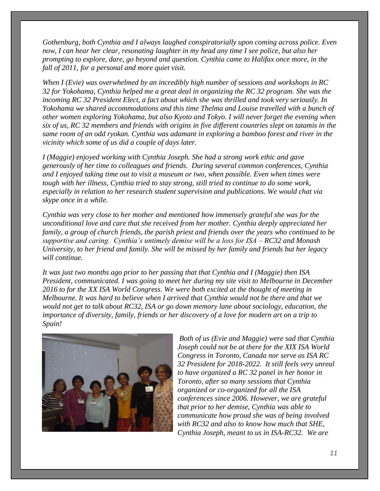*Gothenburg, both Cynthia and I always laughed conspiratorially upon coming across police. Even now, I can hear her clear, resonating laughter in my head any time I see police, but also her prompting to explore, dare, go beyond and question. Cynthia came to Halifax once more, in the fall of 2011, for a personal and more quiet visit.* 

*When I (Evie) was overwhelmed by an incredibly high number of sessions and workshops in RC 32 for Yokohama, Cynthia helped me a great deal in organizing the RC 32 program. She was the incoming RC 32 President Elect, a fact about which she was thrilled and took very seriously. In Yokohama we shared accommodations and this time Thelma and Louise travelled with a bunch of other women exploring Yokohama, but also Kyoto and Tokyo. I will never forget the evening when six of us, RC 32 members and friends with origins in five different countries slept on tatamis in the same room of an odd ryokan. Cynthia was adamant in exploring a bamboo forest and river in the vicinity which some of us did a couple of days later.* 

*I (Maggie) enjoyed working with Cynthia Joseph. She had a strong work ethic and gave generously of her time to colleagues and friends. During several common conferences, Cynthia and I enjoyed taking time out to visit a museum or two, when possible. Even when times were tough with her illness, Cynthia tried to stay strong, still tried to continue to do some work, especially in relation to her research student supervision and publications. We would chat via skype once in a while.* 

*Cynthia was very close to her mother and mentioned how immensely grateful she was for the unconditional love and care that she received from her mother. Cynthia deeply appreciated her family, a group of church friends, the parish priest and friends over the years who continued to be supportive and caring. Cynthia's untimely demise will be a loss for ISA – RC32 and Monash University, to her friend and family. She will be missed by her family and friends but her legacy will continue.*

*It was just two months ago prior to her passing that that Cynthia and I (Maggie) then ISA President, communicated. I was going to meet her during my site visit to Melbourne in December 2016 to for the XX ISA World Congress. We were both excited at the thought of meeting in Melbourne. It was hard to believe when I arrived that Cynthia would not be there and that we would not get to talk about RC32, ISA or go down memory lane about sociology, education, the importance of diversity, family, friends or her discovery of a love for modern art on a trip to Spain!*



*Both of us (Evie and Maggie) were sad that Cynthia Joseph could not be at there for the XIX ISA World Congress in Toronto, Canada nor serve as ISA RC 32 President for 2018-2022. It still feels very unreal to have organized a RC 32 panel in her honor in Toronto, after so many sessions that Cynthia organized or co-organized for all the ISA conferences since 2006. However, we are grateful that prior to her demise, Cynthia was able to communicate how proud she was of being involved with RC32 and also to know how much that SHE, Cynthia Joseph, meant to us in ISA-RC32. We are*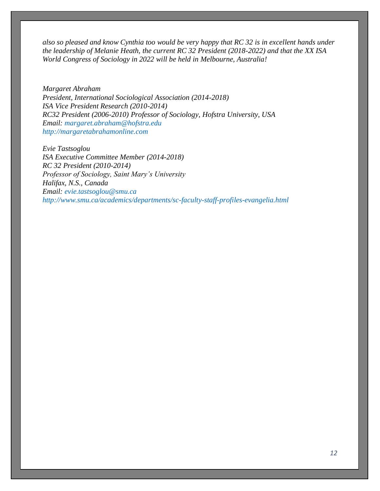*also so pleased and know Cynthia too would be very happy that RC 32 is in excellent hands under the leadership of Melanie Heath, the current RC 32 President (2018-2022) and that the XX ISA World Congress of Sociology in 2022 will be held in Melbourne, Australia!*

*Margaret Abraham President, International Sociological Association (2014-2018) ISA Vice President Research (2010-2014) RC32 President (2006-2010) Professor of Sociology, Hofstra University, USA Email: [margaret.abraham@hofstra.edu](mailto:margaret.abraham@hofstra.edu) [http://margaretabrahamonline.com](http://margaretabrahamonline.com/)*

*Evie Tastsoglou ISA Executive Committee Member (2014-2018) RC 32 President (2010-2014) Professor of Sociology, Saint Mary's University Halifax, N.S., Canada Email: [evie.tastsoglou@smu.ca](mailto:evie.tastsoglou@smu.ca) <http://www.smu.ca/academics/departments/sc-faculty-staff-profiles-evangelia.html>*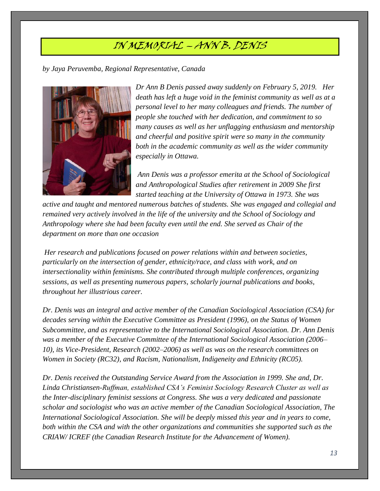# IN MEMORIAL – ANN B. DENIS

*by Jaya Peruvemba, Regional Representative, Canada*



*Dr Ann B Denis passed away suddenly on February 5, 2019. Her death has left a huge void in the feminist community as well as at a personal level to her many colleagues and friends. The number of people she touched with her dedication, and commitment to so many causes as well as her unflagging enthusiasm and mentorship and cheerful and positive spirit were so many in the community both in the academic community as well as the wider community especially in Ottawa.*

*Ann Denis was a professor emerita at the School of Sociological and Anthropological Studies after retirement in 2009 She first started teaching at the University of Ottawa in 1973. She was* 

*active and taught and mentored numerous batches of students. She was engaged and collegial and remained very actively involved in the life of the university and the School of Sociology and Anthropology where she had been faculty even until the end. She served as Chair of the department on more than one occasion*

*Her research and publications focused on power relations within and between societies, particularly on the intersection of gender, ethnicity/race, and class with work, and on intersectionality within feminisms. She contributed through multiple conferences, organizing sessions, as well as presenting numerous papers, scholarly journal publications and books, throughout her illustrious career.* 

*Dr. Denis was an integral and active member of the Canadian Sociological Association (CSA) for decades serving within the Executive Committee as President (1996), on the Status of Women Subcommittee, and as representative to the International Sociological Association. Dr. Ann Denis was a member of the Executive Committee of the International Sociological Association (2006– 10), its Vice-President, Research (2002–2006) as well as was on the research committees on Women in Society (RC32), and Racism, Nationalism, Indigeneity and Ethnicity (RC05).* 

*Dr. Denis received the Outstanding Service Award from the Association in 1999. She and, Dr. Linda Christiansen-Ruffman, established CSA's Feminist Sociology Research Cluster as well as the Inter-disciplinary feminist sessions at Congress. She was a very dedicated and passionate scholar and sociologist who was an active member of the Canadian Sociological Association, The International Sociological Association. She will be deeply missed this year and in years to come, both within the CSA and with the other organizations and communities she supported such as the CRIAW/ ICREF (the Canadian Research Institute for the Advancement of Women).*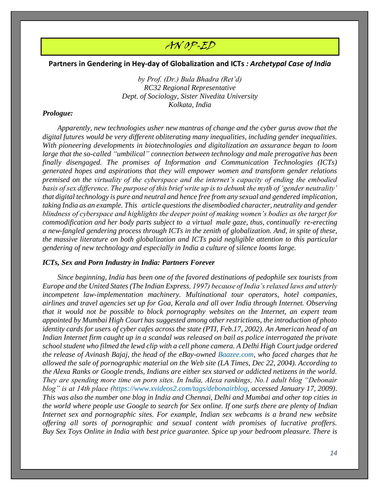## AN OP-ED

#### **Partners in Gendering in Hey-day of Globalization and ICTs** *: Archetypal Case of India*

*by Prof. (Dr.) Bula Bhadra (Ret'd) RC32 Regional Representative Dept. of Sociology, Sister Nivedita University Kolkata, India*

#### *Prologue:*

 *Apparently, new technologies usher new mantras of change and the cyber gurus avow that the digital futures would be very different obliterating many inequalities, including gender inequalities. With pioneering developments in biotechnologies and digitalization an assurance began to loom large that the so-called "umbilical" connection between technology and male prerogative has been finally disengaged. The promises of Information and Communication Technologies (ICTs) generated hopes and aspirations that they will empower women and transform gender relations premised on the virtuality of the cyberspace and the internet's capacity of ending the embodied basis of sex difference. The purpose of this brief write up is to debunk the myth of 'gender neutrality' that digital technology is pure and neutral and hence free from any sexual and gendered implication, taking India as an example. This article questions the disembodied character, neutrality and gender blindness of cyberspace and highlights the deeper point of making women's bodies as the target for commodification and her body parts subject to a virtual male gaze, thus, continually re-erecting a new-fangled gendering process through ICTs in the zenith of globalization. And, in spite of these, the massive literature on both globalization and ICTs paid negligible attention to this particular gendering of new technology and especially in India a culture of silence looms large.*

#### *ICTs, Sex and Porn Industry in India: Partners Forever*

 *Since beginning, India has been one of the favored destinations of pedophile sex tourists from Europe and the United States (The Indian Express, 1997) because of India's relaxed laws and utterly incompetent law-implementation machinery. Multinational tour operators, hotel companies, airlines and travel agencies set up for Goa, Kerala and all over India through Internet. Observing that it would not be possible to block pornography websites on the Internet, an expert team appointed by Mumbai High Court has suggested among other restrictions, the introduction of photo identity cards for users of cyber cafes across the state (PTI, Feb.17, 2002). An American head of an Indian Internet firm caught up in a scandal was released on bail as police interrogated the private school student who filmed the lewd clip with a cell phone camera. A Delhi High Court judge ordered the release of Avinash Bajaj, the head of the eBay-owned [Baazee.com,](http://baazee.com/) who faced charges that he allowed the sale of pornographic material on the Web site (LA Times, Dec 22, 2004). According to the Alexa Ranks or Google trends, Indians are either sex starved or addicted netizens in the world. They are spending more time on porn sites. In India, Alexa rankings, No.1 adult blog "Debonair blog" is at 14th place [\(https://www.xvideos2.com/tags/debonairblog,](https://www.xvideos2.com/tags/debonairblog) accessed January 17, 2009). This was also the number one blog in India and Chennai, Delhi and Mumbai and other top cities in the world where people use Google to search for Sex online. If one surfs there are plenty of Indian Internet sex and pornographic sites. For example, Indian sex webcams is a brand new website offering all sorts of pornographic and sexual content with promises of lucrative proffers. Buy Sex Toys Online in India with best price guarantee. Spice up your bedroom pleasure. There is*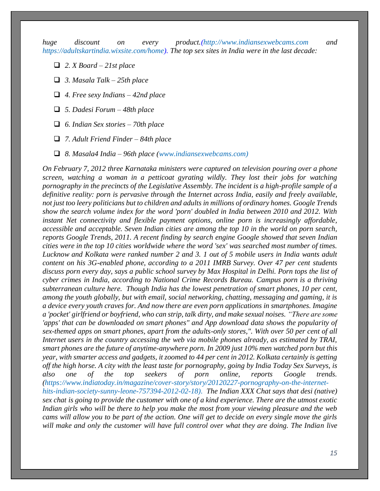*huge discount on every product.[\(http://www.indiansexwebcams.com](http://www.indiansexwebcams.com/) and [https://adultskartindia.wixsite.com/home\)](https://adultskartindia.wixsite.com/home). The top sex sites in India were in the last decade:* 

- ❑ *2. X Board – 21st place*
- ❑ *3. Masala Talk – 25th place*
- ❑ *4. Free sexy Indians – 42nd place*
- ❑ *5. Dadesi Forum – 48th place*
- ❑ *6. Indian Sex stories – 70th place*
- ❑ *7. Adult Friend Finder – 84th place*
- ❑ *8. Masala4 India – 96th place [\(www.indiansexwebcams.com\)](http://www.indiansexwebcams.com/)*

*On February 7, 2012 three Karnataka ministers were captured on television pouring over a phone screen, watching a woman in a petticoat gyrating wildly. They lost their jobs for watching pornography in the precincts of the Legislative Assembly. The incident is a high-profile sample of a definitive reality: porn is pervasive through the Internet across India, easily and freely available, not just too leery politicians but to children and adults in millions of ordinary homes. Google Trends show the search volume index for the word 'porn' doubled in India between 2010 and 2012. With instant Net connectivity and flexible payment options, online porn is increasingly affordable, accessible and acceptable. Seven Indian cities are among the top 10 in the world on porn search, reports Google Trends, 2011. A recent finding by search engine Google showed that seven Indian cities were in the top 10 cities worldwide where the word 'sex' was searched most number of times. Lucknow and Kolkata were ranked number 2 and 3. 1 out of 5 mobile users in India wants adult content on his 3G-enabled phone, according to a 2011 IMRB Survey. Over 47 per cent students discuss porn every day, says a public school survey by Max Hospital in Delhi. Porn tops the list of cyber crimes in India, according to National Crime Records Bureau. Campus porn is a thriving subterranean culture here. Though India has the lowest penetration of smart phones, 10 per cent, among the youth globally, but with email, social networking, chatting, messaging and gaming, it is a device every youth craves for. And now there are even porn applications in smartphones. Imagine a 'pocket' girlfriend or boyfriend, who can strip, talk dirty, and make sexual noises. "There are some 'apps' that can be downloaded on smart phones" and App download data shows the popularity of sex-themed apps on smart phones, apart from the adults-only stores,". With over 50 per cent of all Internet users in the country accessing the web via mobile phones already, as estimated by TRAI, smart phones are the future of anytime-anywhere porn. In 2009 just 10% men watched porn but this year, with smarter access and gadgets, it zoomed to 44 per cent in 2012. Kolkata certainly is getting off the high horse. A city with the least taste for pornography, going by India Today Sex Surveys, is also one of the top seekers of porn online, reports Google trends. [\(https://www.indiatoday.in/magazine/cover-story/story/20120227-pornography-on-the-internet](https://www.indiatoday.in/magazine/cover-story/story/20120227-pornography-on-the-internet-hits-indian-society-sunny-leone-757394-2012-02-18).)[hits-indian-society-sunny-leone-757394-2012-02-18\). T](https://www.indiatoday.in/magazine/cover-story/story/20120227-pornography-on-the-internet-hits-indian-society-sunny-leone-757394-2012-02-18).)he Indian XXX Chat says that [desi \(native\)](https://www.livetheindia.com/)  [sex chat](https://www.livetheindia.com/) is going to provide the customer with one of a kind experience. There are the utmost exotic Indian girls who will be there to help you make the most from your viewing pleasure and the web cams will allow you to be part of the action. One will get to decide on every single move the girls will make and only the customer will have full control over what they are doing. The Indian live*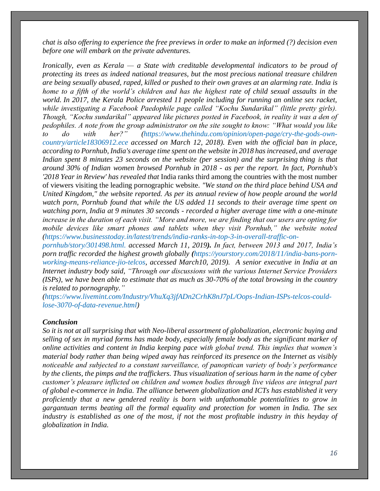*chat is also offering to experience the free previews in order to make an informed (?) decision even before one will embark on the private adventures.*

*Ironically, even as Kerala — a State with creditable developmental indicators to be proud of protecting its trees as indeed national treasures, but the most precious national treasure children are being sexually abused, raped, killed or pushed to their own graves at an alarming rate. India is home to a fifth of the world's children and has the highest rate of child sexual assaults in the world. In 2017, the Kerala Police arrested 11 people including for running an online sex racket, while investigating a Facebook Paedophile page called "Kochu Sundarikal" (little pretty girls). Though, "Kochu sundarikal" appeared like pictures posted in Facebook, in reality it was a den of pedophiles. A note from the group administrator on the site sought to know: "What would you like to do with her?" [\(https://www.thehindu.com/opinion/open-page/cry-the-gods-own](https://www.thehindu.com/opinion/open-page/cry-the-gods-own-country/article18306912.ece%20accessed%20on%20March%2012)[country/article18306912.ece accessed on March 12,](https://www.thehindu.com/opinion/open-page/cry-the-gods-own-country/article18306912.ece%20accessed%20on%20March%2012) 2018). Even with the official ban in place, according to Pornhub, India's average time spent on the website in 2018 has increased, and average Indian spent 8 minutes 23 seconds on the website (per session) and the surprising thing is that around 30% of Indian women browsed Pornhub in 2018 - as per the report. In fact, Pornhub's '2018 Year in Review' has revealed that* India ranks third among the countries with the most number of viewers visiting the leading pornographic website. *"We stand on the third place behind USA and United Kingdom," the website reported. As per its annual review of how people around the world watch porn, Pornhub found that while the US added 11 seconds to their average time spent on watching porn, India at 9 minutes 30 seconds - recorded a higher average time with a one-minute increase in the duration of each visit. "More and more, we are finding that our users are opting for mobile devices like smart phones and tablets when they visit Pornhub," the website noted [\(https://www.businesstoday.in/latest/trends/india-ranks-in-top-3-in-overall-traffic-on-](https://www.businesstoday.in/latest/trends/india-ranks-in-top-3-in-overall-traffic-on-pornhub/story/301498.html.%20accessed%20March%2011)*

*[pornhub/story/301498.html. accessed March 11,](https://www.businesstoday.in/latest/trends/india-ranks-in-top-3-in-overall-traffic-on-pornhub/story/301498.html.%20accessed%20March%2011) 2019). In fact, between 2013 and 2017, India's porn traffic recorded the highest growth globally ([https://yourstory.com/2018/11/india-bans-porn](https://yourstory.com/2018/11/india-bans-porn-working-means-reliance-jio-telcos)[working-means-reliance-jio-telcos,](https://yourstory.com/2018/11/india-bans-porn-working-means-reliance-jio-telcos) accessed March10, 2019). A senior executive in India at an Internet industry body said, "Through our discussions with the various Internet Service Providers (ISPs), we have been able to estimate that as much as 30-70% of the total browsing in the country is related to pornography."*

*[\(https://www.livemint.com/Industry/VhuXq3jfADn2CrhK8nJ7pL/Oops-Indian-ISPs-telcos-could](https://www.livemint.com/Industry/VhuXq3jfADn2CrhK8nJ7pL/Oops-Indian-ISPs-telcos-could-lose-3070-of-data-revenue.html)[lose-3070-of-data-revenue.html\)](https://www.livemint.com/Industry/VhuXq3jfADn2CrhK8nJ7pL/Oops-Indian-ISPs-telcos-could-lose-3070-of-data-revenue.html)*

#### *Conclusion*

*So it is not at all surprising that with Neo-liberal assortment of globalization, electronic buying and selling of sex in myriad forms has made body, especially female body as the significant marker of online activities and content in India keeping pace with global trend. This implies that women's material body rather than being wiped away has reinforced its presence on the Internet as visibly noticeable and subjected to a constant surveillance, of panoptican variety of body's performance by the clients, the pimps and the traffickers. Thus visualization of serious harm in the name of cyber customer's pleasure inflicted on children and women bodies through live videos are integral part of global e-commerce in India. The alliance between globalization and ICTs has established it very proficiently that a new gendered reality is born with unfathomable potentialities to grow in gargantuan terms beating all the formal equality and protection for women in India. The sex industry is established as one of the most, if not the most profitable industry in this heyday of globalization in India.*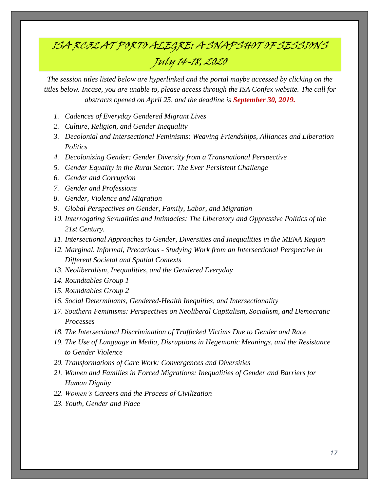# ISA RC32 AT PORTO ALEGRE: A SNAPSHOT OF SESSIONS July 14-18, 2020

*The session titles listed below are hyperlinked and the portal maybe accessed by clicking on the titles below. Incase, you are unable to, please access through the ISA Confex website. The call for abstracts opened on April 25, and the deadline is September 30, 2019.*

- *1. Cadences of Everyday [Gendered](https://isaconf.confex.com/isaconf/forum2020/webprogrampreliminary/Session14506.html) Migrant Lives*
- *2. Culture, Religion, and Gender [Inequality](https://isaconf.confex.com/isaconf/forum2020/webprogrampreliminary/Session13143.html)*
- *3. Decolonial and [Intersectional](https://isaconf.confex.com/isaconf/forum2020/webprogrampreliminary/Session13768.html) Feminisms: Weaving Friendships, Alliances and Liberation [Politics](https://isaconf.confex.com/isaconf/forum2020/webprogrampreliminary/Session13768.html)*
- *4. Decolonizing Gender: Gender Diversity from a [Transnational](https://isaconf.confex.com/isaconf/forum2020/webprogrampreliminary/Session14228.html) Perspective*
- *5. Gender Equality in the Rural Sector: The Ever Persistent [Challenge](https://isaconf.confex.com/isaconf/forum2020/webprogrampreliminary/Session13908.html)*
- *6. Gender and [Corruption](https://isaconf.confex.com/isaconf/forum2020/webprogrampreliminary/Session14481.html)*
- *7. Gender and [Professions](https://isaconf.confex.com/isaconf/forum2020/webprogrampreliminary/Session14831.html)*
- *8. Gender, Violence and [Migration](https://isaconf.confex.com/isaconf/forum2020/webprogrampreliminary/Session14201.html)*
- *9. Global [Perspectives](https://isaconf.confex.com/isaconf/forum2020/webprogrampreliminary/Session13812.html) on Gender, Family, Labor, and Migration*
- *10. [Interrogating](https://isaconf.confex.com/isaconf/forum2020/webprogrampreliminary/Session14611.html) Sexualities and Intimacies: The Liberatory and Oppressive Politics of the 21st [Century.](https://isaconf.confex.com/isaconf/forum2020/webprogrampreliminary/Session14611.html)*
- *11. [Intersectional](https://isaconf.confex.com/isaconf/forum2020/webprogrampreliminary/Session14955.html) Approaches to Gender, Diversities and Inequalities in the MENA Region*
- *12. Marginal, Informal, Precarious - Studying Work from an [Intersectional](https://isaconf.confex.com/isaconf/forum2020/webprogrampreliminary/Session14857.html) Perspective in [Different](https://isaconf.confex.com/isaconf/forum2020/webprogrampreliminary/Session14857.html) Societal and Spatial Contexts*
- *13. [Neoliberalism,](https://isaconf.confex.com/isaconf/forum2020/webprogrampreliminary/Session14329.html) Inequalities, and the Gendered Everyday*
- *14. [Roundtables](https://isaconf.confex.com/isaconf/forum2020/webprogrampreliminary/Session14231.html) Group 1*
- *15. [Roundtables](https://isaconf.confex.com/isaconf/forum2020/webprogrampreliminary/Session14237.html) Group 2*
- *16. Social Determinants, [Gendered-Health](https://isaconf.confex.com/isaconf/forum2020/webprogrampreliminary/Session13780.html) Inequities, and Intersectionality*
- *17. Southern Feminisms: [Perspectives](https://isaconf.confex.com/isaconf/forum2020/webprogrampreliminary/Session14595.html) on Neoliberal Capitalism, Socialism, and Democratic [Processes](https://isaconf.confex.com/isaconf/forum2020/webprogrampreliminary/Session14595.html)*
- *18. The Intersectional [Discrimination](https://isaconf.confex.com/isaconf/forum2020/webprogrampreliminary/Session13886.html) of Trafficked Victims Due to Gender and Race*
- *19. The Use of Language in Media, [Disruptions](https://isaconf.confex.com/isaconf/forum2020/webprogrampreliminary/Session15049.html) in Hegemonic Meanings, and the Resistance to Gender [Violence](https://isaconf.confex.com/isaconf/forum2020/webprogrampreliminary/Session15049.html)*
- *20. [Transformations](https://isaconf.confex.com/isaconf/forum2020/webprogrampreliminary/Session13229.html) of Care Work: Convergences and Diversities*
- *21. Women and Families in Forced [Migrations:](https://isaconf.confex.com/isaconf/forum2020/webprogrampreliminary/Session14075.html) Inequalities of Gender and Barriers for Human [Dignity](https://isaconf.confex.com/isaconf/forum2020/webprogrampreliminary/Session14075.html)*
- *22. Women's Careers and the Process of [Civilization](https://isaconf.confex.com/isaconf/forum2020/webprogrampreliminary/Session14259.html)*
- *23. Youth, [Gender](https://isaconf.confex.com/isaconf/forum2020/webprogrampreliminary/Session13956.html) and Place*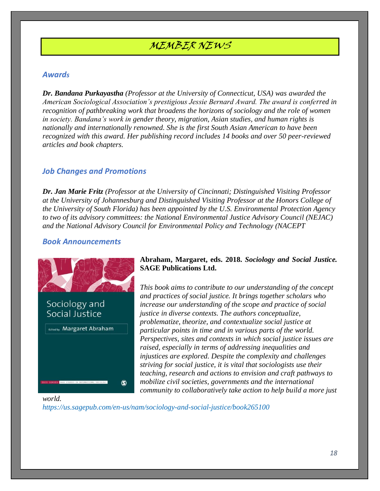## MEMBER NEWS

## *Awards*

*Dr. Bandana Purkayastha (Professor at the University of Connecticut, USA) was awarded the American Sociological Association's prestigious Jessie Bernard Award. The award is conferred in recognition of pathbreaking work that broadens the horizons of sociology and the role of women in society. Bandana's work in gender theory, migration, Asian studies, and human rights is nationally and internationally renowned. She is the first South Asian American to have been recognized with this award. Her publishing record includes 14 books and over 50 peer-reviewed articles and book chapters.* 

## *Job Changes and Promotions*

*Dr. Jan Marie Fritz (Professor at the University of Cincinnati; Distinguished Visiting Professor at the University of Johannesburg and Distinguished Visiting Professor at the Honors College of the University of South Florida) has been appointed by the U.S. Environmental Protection Agency to two of its advisory committees: the National Environmental Justice Advisory Council (NEJAC) and the National Advisory Council for Environmental Policy and Technology (NACEPT*

#### *Book Announcements*



### **Abraham, Margaret, eds. 2018.** *Sociology and Social Justice.*  **SAGE Publications Ltd.**

*This book aims to contribute to our understanding of the concept and practices of social justice. It brings together scholars who increase our understanding of the scope and practice of social justice in diverse contexts. The authors conceptualize, problematize, theorize, and contextualize social justice at particular points in time and in various parts of the world. Perspectives, sites and contexts in which social justice issues are raised, especially in terms of addressing inequalities and injustices are explored. Despite the complexity and challenges striving for social justice, it is vital that sociologists use their teaching, research and actions to envision and craft pathways to mobilize civil societies, governments and the international community to collaboratively take action to help build a more just* 

#### *world.*

*<https://us.sagepub.com/en-us/nam/sociology-and-social-justice/book265100>*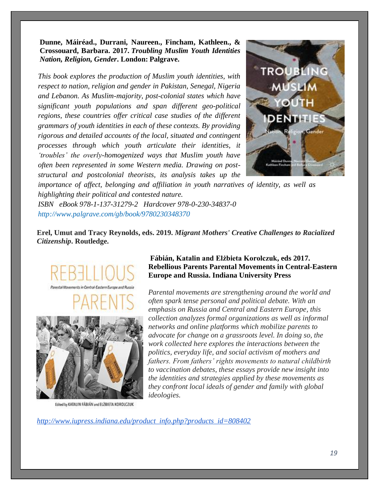**Dunne, Máiréad., Durrani, Naureen., Fincham, Kathleen., & Crossouard, Barbara. 2017.** *Troubling Muslim Youth Identities Nation, Religion, Gender***. London: Palgrave.**

*This book explores the production of Muslim youth identities, with respect to nation, religion and gender in Pakistan, Senegal, Nigeria and Lebanon. As Muslim-majority, post-colonial states which have significant youth populations and span different geo-political regions, these countries offer critical case studies of the different grammars of youth identities in each of these contexts. By providing rigorous and detailed accounts of the local, situated and contingent processes through which youth articulate their identities, it 'troubles' the overly-homogenized ways that Muslim youth have often been represented in some Western media. Drawing on poststructural and postcolonial theorists, its analysis takes up the* 



*importance of affect, belonging and affiliation in youth narratives of identity, as well as highlighting their political and contested nature.* 

*ISBN eBook 978-1-137-31279-2 Hardcover 978-0-230-34837-0 <http://www.palgrave.com/gb/book/9780230348370>*

**Erel, Umut and Tracy Reynolds, eds. 2019.** *Migrant Mothers' Creative Challenges to Racialized Citizenship***. Routledge.**





Edited by KATALIN FÁBIÁN and ELŻBIETA KOROLCZUK

## **Fábián, Katalin and Elżbieta Korolczuk, eds 2017. Rebellious Parents Parental Movements in Central-Eastern Europe and Russia. Indiana University Press**

*Parental movements are strengthening around the world and often spark tense personal and political debate. With an emphasis on Russia and Central and Eastern Europe, this collection analyzes formal organizations as well as informal networks and online platforms which mobilize parents to advocate for change on a grassroots level. In doing so, the work collected here explores the interactions between the politics, everyday life, and social activism of mothers and fathers. From fathers' rights movements to natural childbirth to vaccination debates, these essays provide new insight into the identities and strategies applied by these movements as they confront local ideals of gender and family with global ideologies.*

*http://www.iupress.indiana.edu/product\_info.php?products\_id=808402*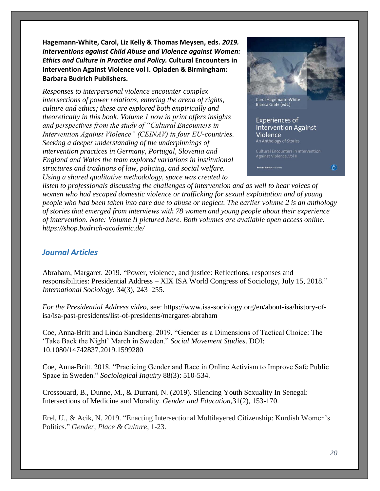**Hagemann-White, Carol, Liz Kelly & Thomas Meysen, eds.** *2019. Interventions against Child Abuse and Violence against Women: Ethics and Culture in Practice and Policy.* **Cultural Encounters in Intervention Against Violence vol I. Opladen & Birmingham: Barbara Budrich Publishers.** 

*Responses to interpersonal violence encounter complex intersections of power relations, entering the arena of rights, culture and ethics; these are explored both empirically and theoretically in this book. Volume 1 now in print offers insights and perspectives from the study of "Cultural Encounters in Intervention Against Violence" (CEINAV) in four EU-countries. Seeking a deeper understanding of the underpinnings of intervention practices in Germany, Portugal, Slovenia and England and Wales the team explored variations in institutional structures and traditions of law, policing, and social welfare. Using a shared qualitative methodology, space was created to* 



**Experiences of Intervention Against** Violence An Anthology of Stories

நி:

*listen to professionals discussing the challenges of intervention and as well to hear voices of women who had escaped domestic violence or trafficking for sexual exploitation and of young people who had been taken into care due to abuse or neglect. The earlier volume 2 is an anthology of stories that emerged from interviews with 78 women and young people about their experience of intervention. Note: Volume II pictured here. Both volumes are available open access online. https://shop.budrich-academic.de/*

## *Journal Articles*

Abraham, Margaret. 2019. "Power, violence, and justice: Reflections, responses and responsibilities: Presidential Address – XIX ISA World Congress of Sociology, July 15, 2018." *International Sociology*, 34(3), 243–255.

*For the Presidential Address video*, see: [https://www.isa-sociology.org/en/about-isa/history-of](https://www.isa-sociology.org/en/about-isa/history-of-isa/isa-past-presidents/list-of-presidents/margaret-abraham)[isa/isa-past-presidents/list-of-presidents/margaret-abraham](https://www.isa-sociology.org/en/about-isa/history-of-isa/isa-past-presidents/list-of-presidents/margaret-abraham)

Coe, Anna-Britt and Linda Sandberg. 2019. "Gender as a Dimensions of Tactical Choice: The 'Take Back the Night' March in Sweden." *Social Movement Studies*. DOI: 10.1080/14742837.2019.1599280

Coe, Anna-Britt. 2018. "Practicing Gender and Race in Online Activism to Improve Safe Public Space in Sweden." *Sociological Inquiry* 88(3): 510-534.

Crossouard, B., Dunne, M., & Durrani, N. (2019). Silencing Youth Sexuality In Senegal: Intersections of Medicine and Morality. *Gender and Education*,31(2), 153-170.

Erel, U., & Acik, N. 2019. "Enacting Intersectional Multilayered Citizenship: Kurdish Women's Politics." *Gender, Place & Culture*, 1-23.